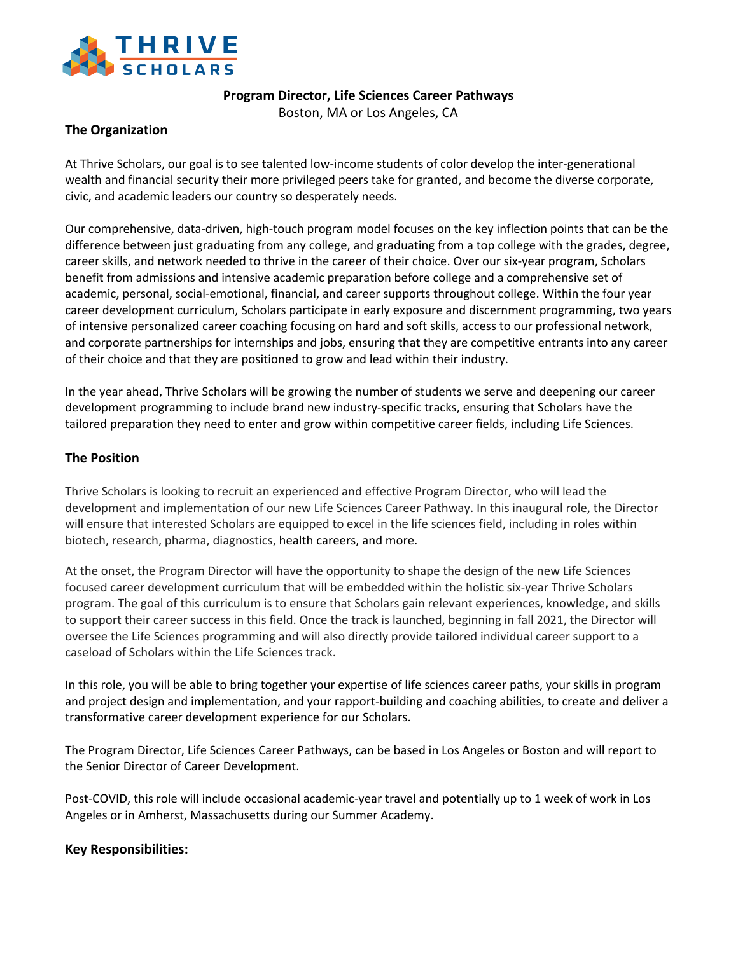

**Program Director, Life Sciences Career Pathways**

Boston, MA or Los Angeles, CA

# **The Organization**

At Thrive Scholars, our goal is to see talented low-income students of color develop the inter-generational wealth and financial security their more privileged peers take for granted, and become the diverse corporate, civic, and academic leaders our country so desperately needs.

Our comprehensive, data-driven, high-touch program model focuses on the key inflection points that can be the difference between just graduating from any college, and graduating from a top college with the grades, degree, career skills, and network needed to thrive in the career of their choice. Over our six-year program, Scholars benefit from admissions and intensive academic preparation before college and a comprehensive set of academic, personal, social-emotional, financial, and career supports throughout college. Within the four year career development curriculum, Scholars participate in early exposure and discernment programming, two years of intensive personalized career coaching focusing on hard and soft skills, access to our professional network, and corporate partnerships for internships and jobs, ensuring that they are competitive entrants into any career of their choice and that they are positioned to grow and lead within their industry.

In the year ahead, Thrive Scholars will be growing the number of students we serve and deepening our career development programming to include brand new industry-specific tracks, ensuring that Scholars have the tailored preparation they need to enter and grow within competitive career fields, including Life Sciences.

## **The Position**

Thrive Scholars is looking to recruit an experienced and effective Program Director, who will lead the development and implementation of our new Life Sciences Career Pathway. In this inaugural role, the Director will ensure that interested Scholars are equipped to excel in the life sciences field, including in roles within biotech, research, pharma, diagnostics, health careers, and more.

At the onset, the Program Director will have the opportunity to shape the design of the new Life Sciences focused career development curriculum that will be embedded within the holistic six-year Thrive Scholars program. The goal of this curriculum is to ensure that Scholars gain relevant experiences, knowledge, and skills to support their career success in this field. Once the track is launched, beginning in fall 2021, the Director will oversee the Life Sciences programming and will also directly provide tailored individual career support to a caseload of Scholars within the Life Sciences track.

In this role, you will be able to bring together your expertise of life sciences career paths, your skills in program and project design and implementation, and your rapport-building and coaching abilities, to create and deliver a transformative career development experience for our Scholars.

The Program Director, Life Sciences Career Pathways, can be based in Los Angeles or Boston and will report to the Senior Director of Career Development.

Post-COVID, this role will include occasional academic-year travel and potentially up to 1 week of work in Los Angeles or in Amherst, Massachusetts during our Summer Academy.

## **Key Responsibilities:**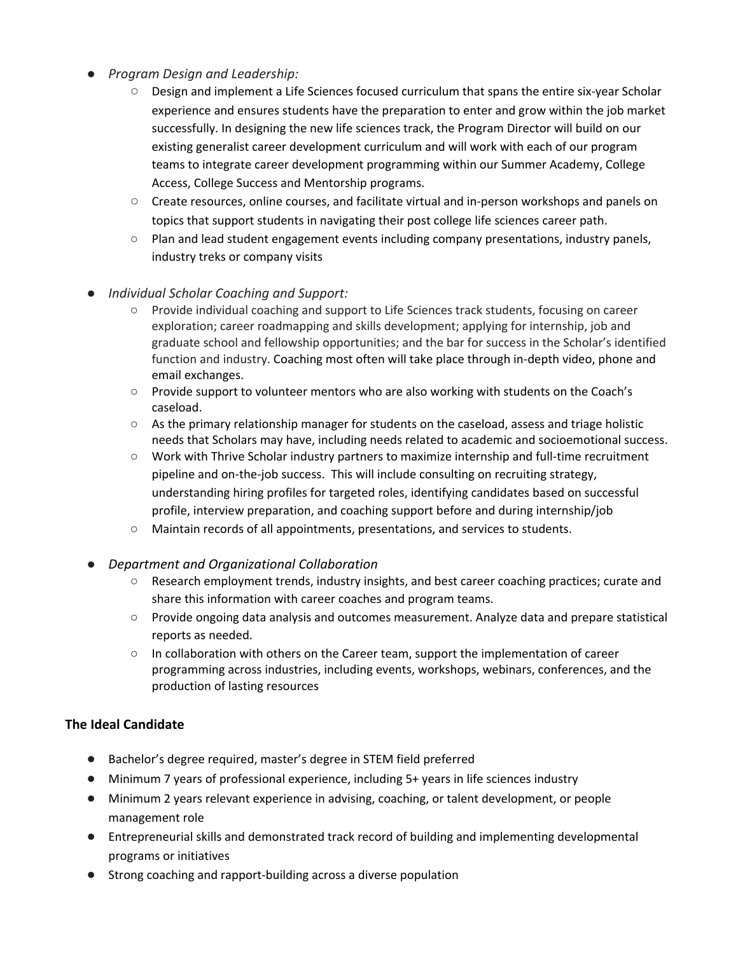- *Program Design and Leadership:*
	- *○* Design and implement a Life Sciences focused curriculum that spans the entire six-year Scholar experience and ensures students have the preparation to enter and grow within the job market successfully. In designing the new life sciences track, the Program Director will build on our existing generalist career development curriculum and will work with each of our program teams to integrate career development programming within our Summer Academy, College Access, College Success and Mentorship programs.
	- *○* Create resources, online courses, and facilitate virtual and in-person workshops and panels on topics that support students in navigating their post college life sciences career path.
	- Plan and lead student engagement events including company presentations, industry panels, industry treks or company visits
- *Individual Scholar Coaching and Support:* 
	- Provide individual coaching and support to Life Sciences track students, focusing on career exploration; career roadmapping and skills development; applying for internship, job and graduate school and fellowship opportunities; and the bar for success in the Scholar's identified function and industry. Coaching most often will take place through in-depth video, phone and email exchanges.
	- Provide support to volunteer mentors who are also working with students on the Coach's caseload.
	- As the primary relationship manager for students on the caseload, assess and triage holistic needs that Scholars may have, including needs related to academic and socioemotional success.
	- Work with Thrive Scholar industry partners to maximize internship and full-time recruitment pipeline and on-the-job success. This will include consulting on recruiting strategy, understanding hiring profiles for targeted roles, identifying candidates based on successful profile, interview preparation, and coaching support before and during internship/job
	- Maintain records of all appointments, presentations, and services to students.
- *Department and Organizational Collaboration*
	- Research employment trends, industry insights, and best career coaching practices; curate and share this information with career coaches and program teams.
	- Provide ongoing data analysis and outcomes measurement. Analyze data and prepare statistical reports as needed.
	- In collaboration with others on the Career team, support the implementation of career programming across industries, including events, workshops, webinars, conferences, and the production of lasting resources

## **The Ideal Candidate**

- Bachelor's degree required, master's degree in STEM field preferred
- Minimum 7 years of professional experience, including 5+ years in life sciences industry
- Minimum 2 years relevant experience in advising, coaching, or talent development, or people management role
- Entrepreneurial skills and demonstrated track record of building and implementing developmental programs or initiatives
- Strong coaching and rapport-building across a diverse population